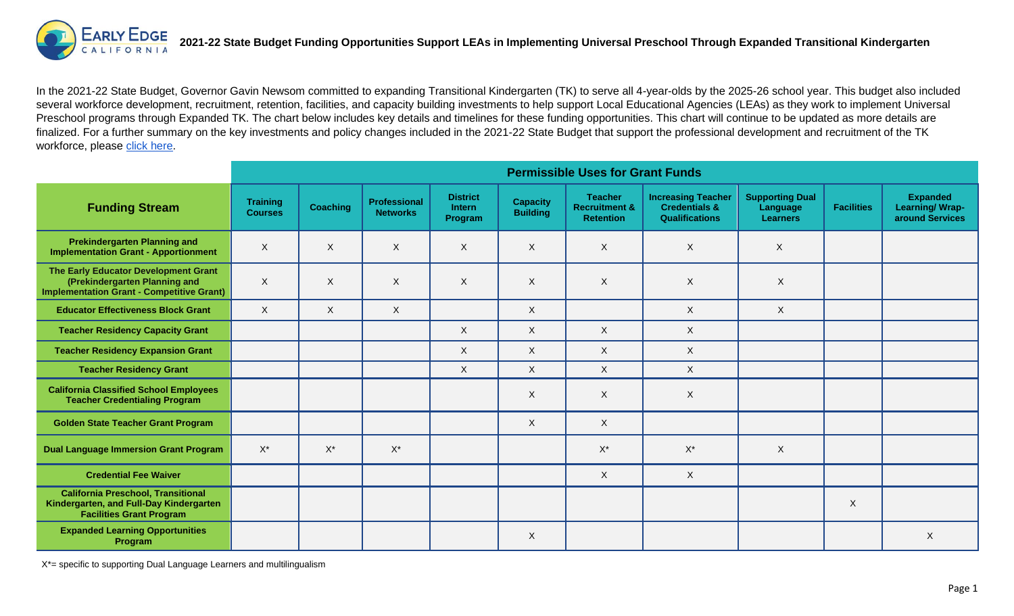

In the 2021-22 State Budget, Governor Gavin Newsom committed to expanding Transitional Kindergarten (TK) to serve all 4-year-olds by the 2025-26 school year. This budget also included several workforce development, recruitment, retention, facilities, and capacity building investments to help support Local Educational Agencies (LEAs) as they work to implement Universal Preschool programs through Expanded TK. The chart below includes key details and timelines for these funding opportunities. This chart will continue to be updated as more details are finalized. For a further summary on the key investments and policy changes included in the 2021-22 State Budget that support the professional development and recruitment of the TK workforce, please [click here.](https://earlyedgecalifornia.org/tk-ece-workforce-recruitment-professional-development-and-retention-programs-included-in-2021-22-state-budget/)

|                                                                                                                           | <b>Permissible Uses for Grant Funds</b> |                 |                                        |                                             |                                    |                                                                |                                                                                |                                                       |                   |                                                             |
|---------------------------------------------------------------------------------------------------------------------------|-----------------------------------------|-----------------|----------------------------------------|---------------------------------------------|------------------------------------|----------------------------------------------------------------|--------------------------------------------------------------------------------|-------------------------------------------------------|-------------------|-------------------------------------------------------------|
| <b>Funding Stream</b>                                                                                                     | <b>Training</b><br><b>Courses</b>       | <b>Coaching</b> | <b>Professional</b><br><b>Networks</b> | <b>District</b><br><b>Intern</b><br>Program | <b>Capacity</b><br><b>Building</b> | <b>Teacher</b><br><b>Recruitment &amp;</b><br><b>Retention</b> | <b>Increasing Teacher</b><br><b>Credentials &amp;</b><br><b>Qualifications</b> | <b>Supporting Dual</b><br>Language<br><b>Learners</b> | <b>Facilities</b> | <b>Expanded</b><br><b>Learning/Wrap-</b><br>around Services |
| <b>Prekindergarten Planning and</b><br><b>Implementation Grant - Apportionment</b>                                        | X                                       | X               | X                                      | X                                           | X                                  | $\boldsymbol{\mathsf{X}}$                                      | X                                                                              | X                                                     |                   |                                                             |
| The Early Educator Development Grant<br>(Prekindergarten Planning and<br><b>Implementation Grant - Competitive Grant)</b> | X                                       | X               | X                                      | X                                           | $\mathsf{X}$                       | $\times$                                                       | X                                                                              | $\mathsf{X}$                                          |                   |                                                             |
| <b>Educator Effectiveness Block Grant</b>                                                                                 | X                                       | $\mathsf{X}$    | $\boldsymbol{\mathsf{X}}$              |                                             | X                                  |                                                                | X                                                                              | $\mathsf{X}$                                          |                   |                                                             |
| <b>Teacher Residency Capacity Grant</b>                                                                                   |                                         |                 |                                        | X                                           | $\times$                           | X                                                              | $\times$                                                                       |                                                       |                   |                                                             |
| <b>Teacher Residency Expansion Grant</b>                                                                                  |                                         |                 |                                        | $\times$                                    | $\times$                           | X                                                              | X                                                                              |                                                       |                   |                                                             |
| <b>Teacher Residency Grant</b>                                                                                            |                                         |                 |                                        | $\mathsf{X}$                                | $\mathsf{X}$                       | $\mathsf{X}$                                                   | $\mathsf{X}$                                                                   |                                                       |                   |                                                             |
| <b>California Classified School Employees</b><br><b>Teacher Credentialing Program</b>                                     |                                         |                 |                                        |                                             | X                                  | X                                                              | X                                                                              |                                                       |                   |                                                             |
| <b>Golden State Teacher Grant Program</b>                                                                                 |                                         |                 |                                        |                                             | $\mathsf{X}$                       | X                                                              |                                                                                |                                                       |                   |                                                             |
| <b>Dual Language Immersion Grant Program</b>                                                                              | $\mathsf{X}^\star$                      | $X^*$           | $\mathsf{X}^\star$                     |                                             |                                    | $\mathsf{X}^\star$                                             | $X^*$                                                                          | $\boldsymbol{\mathsf{X}}$                             |                   |                                                             |
| <b>Credential Fee Waiver</b>                                                                                              |                                         |                 |                                        |                                             |                                    | X                                                              | $\mathsf{X}$                                                                   |                                                       |                   |                                                             |
| <b>California Preschool, Transitional</b><br>Kindergarten, and Full-Day Kindergarten<br><b>Facilities Grant Program</b>   |                                         |                 |                                        |                                             |                                    |                                                                |                                                                                |                                                       | X                 |                                                             |
| <b>Expanded Learning Opportunities</b><br>Program                                                                         |                                         |                 |                                        |                                             | X                                  |                                                                |                                                                                |                                                       |                   | $\mathsf{X}$                                                |

X\*= specific to supporting Dual Language Learners and multilingualism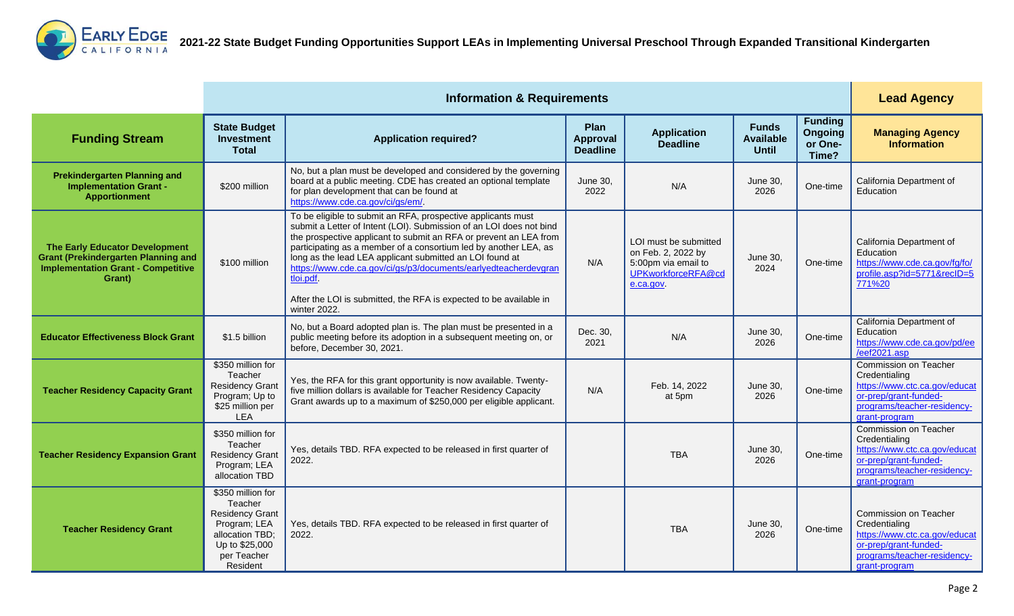

|                                                                                                                                     |                                                                                                                                        | <b>Lead Agency</b>                                                                                                                                                                                                                                                                                                                                                                                                                                                                                            |                                            |                                                                                                       |                                                  |                                                      |                                                                                                                                                  |
|-------------------------------------------------------------------------------------------------------------------------------------|----------------------------------------------------------------------------------------------------------------------------------------|---------------------------------------------------------------------------------------------------------------------------------------------------------------------------------------------------------------------------------------------------------------------------------------------------------------------------------------------------------------------------------------------------------------------------------------------------------------------------------------------------------------|--------------------------------------------|-------------------------------------------------------------------------------------------------------|--------------------------------------------------|------------------------------------------------------|--------------------------------------------------------------------------------------------------------------------------------------------------|
| <b>Funding Stream</b>                                                                                                               | <b>State Budget</b><br>Investment<br><b>Total</b>                                                                                      | <b>Application required?</b>                                                                                                                                                                                                                                                                                                                                                                                                                                                                                  | Plan<br><b>Approval</b><br><b>Deadline</b> | <b>Application</b><br><b>Deadline</b>                                                                 | <b>Funds</b><br><b>Available</b><br><b>Until</b> | <b>Funding</b><br><b>Ongoing</b><br>or One-<br>Time? | <b>Managing Agency</b><br><b>Information</b>                                                                                                     |
| <b>Prekindergarten Planning and</b><br><b>Implementation Grant -</b><br><b>Apportionment</b>                                        | \$200 million                                                                                                                          | No, but a plan must be developed and considered by the governing<br>board at a public meeting. CDE has created an optional template<br>for plan development that can be found at<br>https://www.cde.ca.gov/ci/gs/em/.                                                                                                                                                                                                                                                                                         | June 30,<br>2022                           | N/A                                                                                                   | June 30,<br>2026                                 | One-time                                             | California Department of<br>Education                                                                                                            |
| The Early Educator Development<br><b>Grant (Prekindergarten Planning and</b><br><b>Implementation Grant - Competitive</b><br>Grant) | \$100 million                                                                                                                          | To be eligible to submit an RFA, prospective applicants must<br>submit a Letter of Intent (LOI). Submission of an LOI does not bind<br>the prospective applicant to submit an RFA or prevent an LEA from<br>participating as a member of a consortium led by another LEA, as<br>long as the lead LEA applicant submitted an LOI found at<br>https://www.cde.ca.gov/ci/gs/p3/documents/earlyedteacherdevgran<br>tloi.pdf<br>After the LOI is submitted, the RFA is expected to be available in<br>winter 2022. | N/A                                        | LOI must be submitted<br>on Feb. 2, 2022 by<br>5:00pm via email to<br>UPKworkforceRFA@cd<br>e.ca.gov. | June 30,<br>2024                                 | One-time                                             | California Department of<br>Education<br>https://www.cde.ca.gov/fg/fo/<br>profile.asp?id=5771&recID=5<br>771%20                                  |
| <b>Educator Effectiveness Block Grant</b>                                                                                           | \$1.5 billion                                                                                                                          | No, but a Board adopted plan is. The plan must be presented in a<br>public meeting before its adoption in a subsequent meeting on, or<br>before, December 30, 2021.                                                                                                                                                                                                                                                                                                                                           | Dec. 30,<br>2021                           | N/A                                                                                                   | June 30,<br>2026                                 | One-time                                             | California Department of<br>Education<br>https://www.cde.ca.gov/pd/ee<br>/eef2021.asp                                                            |
| <b>Teacher Residency Capacity Grant</b>                                                                                             | \$350 million for<br>Teacher<br><b>Residency Grant</b><br>Program; Up to<br>\$25 million per<br><b>LEA</b>                             | Yes, the RFA for this grant opportunity is now available. Twenty-<br>five million dollars is available for Teacher Residency Capacity<br>Grant awards up to a maximum of \$250,000 per eligible applicant.                                                                                                                                                                                                                                                                                                    | N/A                                        | Feb. 14, 2022<br>at 5pm                                                                               | <b>June 30,</b><br>2026                          | One-time                                             | Commission on Teacher<br>Credentialing<br>https://www.ctc.ca.gov/educat<br>or-prep/grant-funded-<br>programs/teacher-residency-<br>grant-program |
| <b>Teacher Residency Expansion Grant</b>                                                                                            | \$350 million for<br>Teacher<br><b>Residency Grant</b><br>Program; LEA<br>allocation TBD                                               | Yes, details TBD. RFA expected to be released in first quarter of<br>2022.                                                                                                                                                                                                                                                                                                                                                                                                                                    |                                            | <b>TBA</b>                                                                                            | <b>June 30,</b><br>2026                          | One-time                                             | Commission on Teacher<br>Credentialing<br>https://www.ctc.ca.gov/educat<br>or-prep/grant-funded-<br>programs/teacher-residency-<br>grant-program |
| <b>Teacher Residency Grant</b>                                                                                                      | \$350 million for<br>Teacher<br><b>Residency Grant</b><br>Program; LEA<br>allocation TBD;<br>Up to \$25,000<br>per Teacher<br>Resident | Yes, details TBD. RFA expected to be released in first quarter of<br>2022.                                                                                                                                                                                                                                                                                                                                                                                                                                    |                                            | <b>TBA</b>                                                                                            | June 30,<br>2026                                 | One-time                                             | Commission on Teacher<br>Credentialing<br>https://www.ctc.ca.gov/educat<br>or-prep/grant-funded-<br>programs/teacher-residency-<br>grant-program |